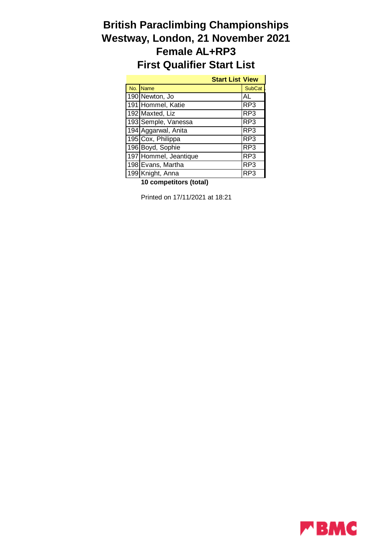## **British Paraclimbing Championships Westway, London, 21 November 2021 Female AL+RP3 First Qualifier Start List**

|     | <b>Start List View</b> |                 |
|-----|------------------------|-----------------|
| No. | <b>Name</b>            | <b>SubCat</b>   |
|     | 190 Newton, Jo         | AL              |
|     | 191 Hommel, Katie      | RP3             |
|     | 192 Maxted, Liz        | RP3             |
|     | 193 Semple, Vanessa    | RP <sub>3</sub> |
|     | 194 Aggarwal, Anita    | RP3             |
|     | 195 Cox, Philippa      | RP <sub>3</sub> |
|     | 196 Boyd, Sophie       | RP3             |
|     | 197 Hommel, Jeantique  | RP3             |
|     | 198 Evans, Martha      | RP3             |
|     | 199 Knight, Anna       | RP3             |

**10 competitors (total)**

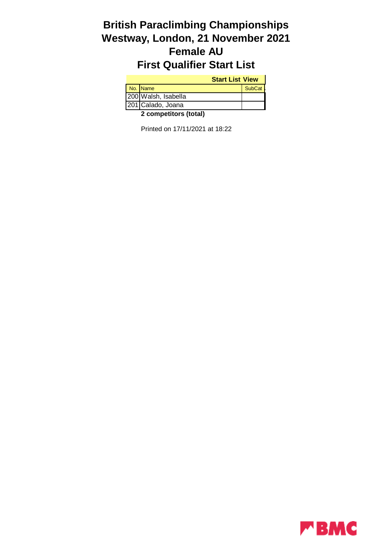# **British Paraclimbing Championships Westway, London, 21 November 2021 Female AU First Qualifier Start List**

| <b>Start List View</b> |                             |               |
|------------------------|-----------------------------|---------------|
|                        | No. Name                    | <b>SubCat</b> |
|                        | 200 Walsh, Isabella         |               |
|                        | 201 Calado, Joana           |               |
|                        | $\sim$ $\sim$ $\sim$ $\sim$ |               |

**2 competitors (total)**

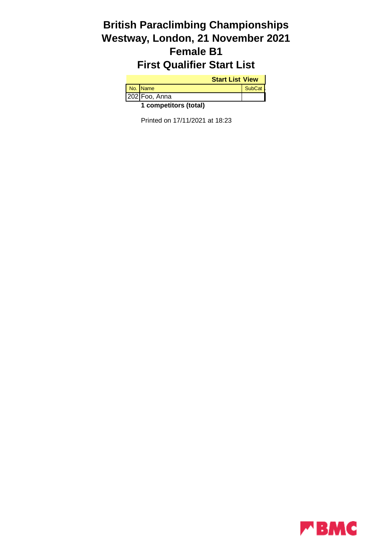# **British Paraclimbing Championships Westway, London, 21 November 2021 Female B1 First Qualifier Start List**

| <b>Start List View</b> |               |               |
|------------------------|---------------|---------------|
|                        | No. Name      | <b>SubCat</b> |
|                        | 202 Foo, Anna |               |
| 1 competitors (total)  |               |               |

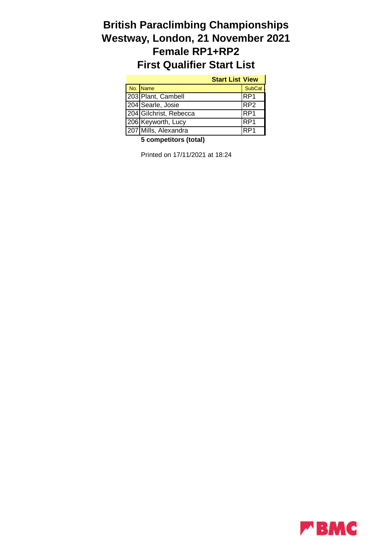# **British Paraclimbing Championships Westway, London, 21 November 2021 Female RP1+RP2 First Qualifier Start List**

| <b>Start List View</b> |                 |
|------------------------|-----------------|
| No. Name               | <b>SubCat</b>   |
| 203 Plant, Cambell     | RP <sub>1</sub> |
| 204 Searle, Josie      | RP <sub>2</sub> |
| 204 Gilchrist, Rebecca | IRP1            |
| 206 Keyworth, Lucy     | RP <sub>1</sub> |
| 207 Mills, Alexandra   | RP <sub>1</sub> |

**5 competitors (total)**

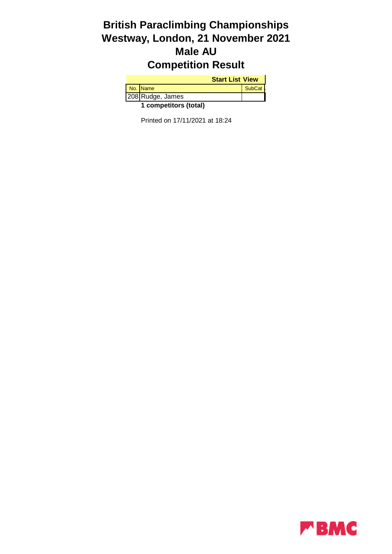# **British Paraclimbing Championships Westway, London, 21 November 2021 Male AU Competition Result**

| <b>Start List View</b> |                  |               |
|------------------------|------------------|---------------|
|                        | No. Name         | <b>SubCat</b> |
|                        | 208 Rudge, James |               |
| 1 competitors (total)  |                  |               |

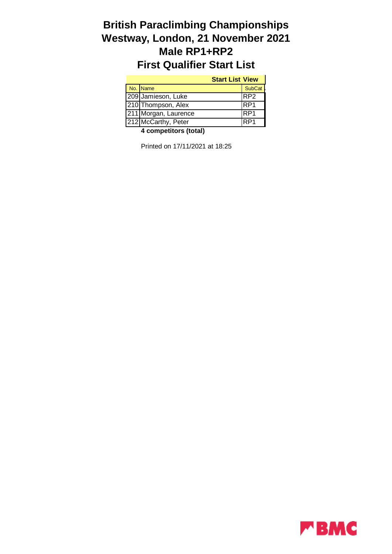## **British Paraclimbing Championships Westway, London, 21 November 2021 Male RP1+RP2 First Qualifier Start List**

| <b>Start List View</b> |               |
|------------------------|---------------|
| No. Name               | <b>SubCat</b> |
| 209 Jamieson, Luke     | IRP2          |
| 210 Thompson, Alex     | IRP1          |
| 211 Morgan, Laurence   | IRP1          |
| 212 McCarthy, Peter    | IRP1          |

**4 competitors (total)**

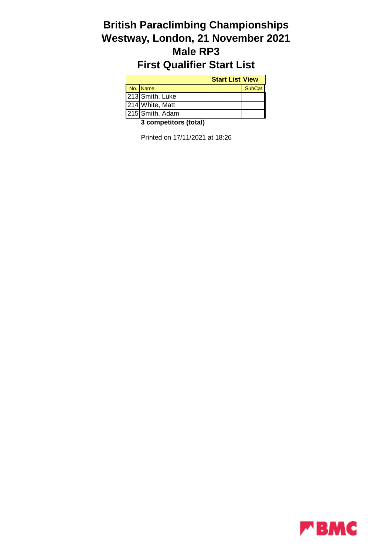#### **British Paraclimbing Championships Westway, London, 21 November 2021 Male RP3 First Qualifier Start List**

#### **Start List View**

| No. Name        | <b>SubCat</b> |
|-----------------|---------------|
| 213 Smith, Luke |               |
| 214 White, Matt |               |
| 215 Smith, Adam |               |

**3 competitors (total)**